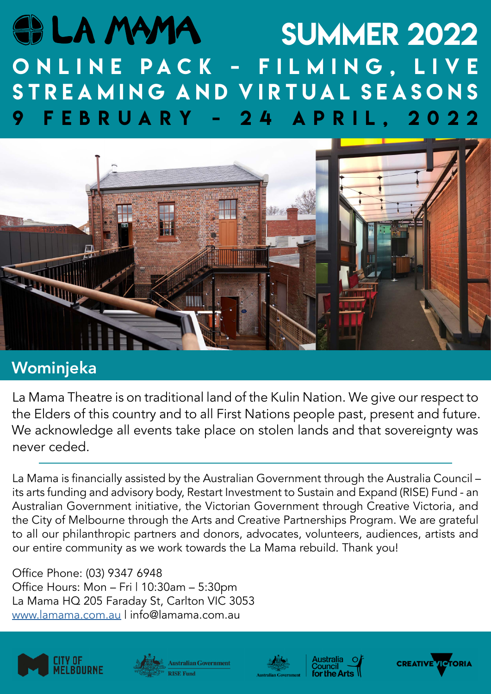# SI LA MAMA summer 2022 O N L I N E P A C K - F I L M I N G , L I V E STREAMING AND VIRTUAL SEASONS 9 february - 24 april, 2022



# Wominjeka

La Mama Theatre is on traditional land of the Kulin Nation. We give our respect to the Elders of this country and to all First Nations people past, present and future. We acknowledge all events take place on stolen lands and that sovereignty was never ceded.

La Mama is financially assisted by the Australian Government through the Australia Council – its arts funding and advisory body, Restart Investment to Sustain and Expand (RISE) Fund - an Australian Government initiative, the Victorian Government through Creative Victoria, and the City of Melbourne through the Arts and Creative Partnerships Program. We are grateful to all our philanthropic partners and donors, advocates, volunteers, audiences, artists and our entire community as we work towards the La Mama rebuild. Thank you!

Office Phone: (03) 9347 6948 Office Hours: Mon – Fri | 10:30am – 5:30pm La Mama HQ 205 Faraday St, Carlton VIC 3053 www.lamama.com.au | info@lamama.com.au









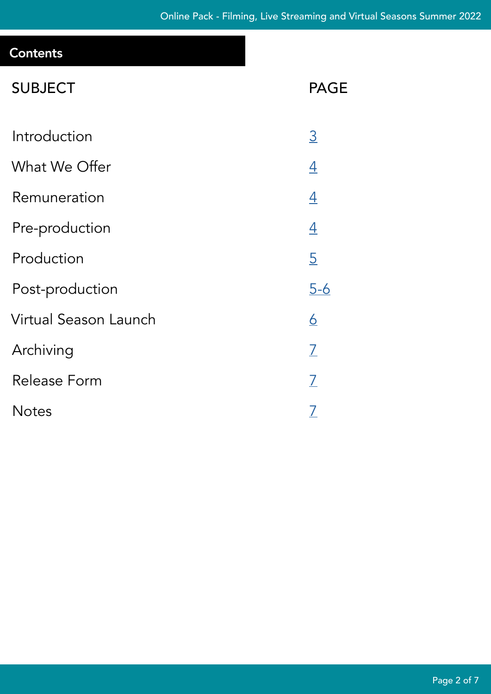# **Contents**

| <b>SUBJECT</b>        | <b>PAGE</b>    |
|-----------------------|----------------|
| Introduction          | $\overline{3}$ |
| What We Offer         | $\overline{4}$ |
| Remuneration          | $\overline{4}$ |
| Pre-production        | $\overline{4}$ |
| Production            | $\overline{5}$ |
| Post-production       | <u>5-6</u>     |
| Virtual Season Launch | <u>6</u>       |
| Archiving             | $\overline{L}$ |
| Release Form          | $\overline{L}$ |
| <b>Notes</b>          | <u>7</u>       |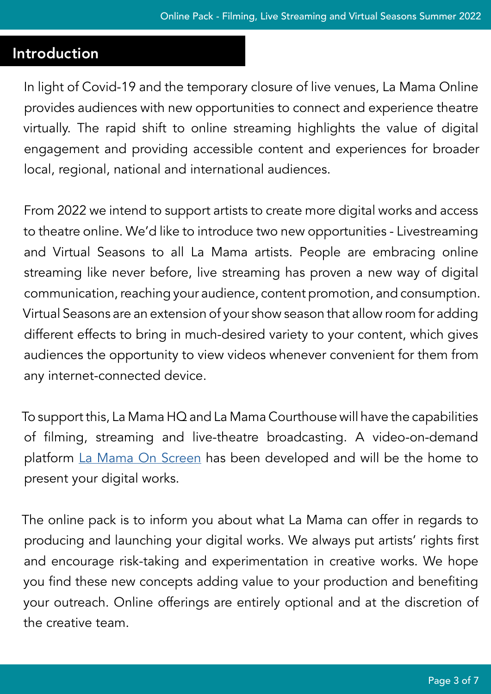#### <span id="page-2-0"></span>Introduction

In light of Covid-19 and the temporary closure of live venues, La Mama Online provides audiences with new opportunities to connect and experience theatre virtually. The rapid shift to online streaming highlights the value of digital engagement and providing accessible content and experiences for broader local, regional, national and international audiences.

From 2022 we intend to support artists to create more digital works and access to theatre online. We'd like to introduce two new opportunities - Livestreaming and Virtual Seasons to all La Mama artists. People are embracing online streaming like never before, live streaming has proven a new way of digital communication, reaching your audience, content promotion, and consumption. Virtual Seasons are an extension of your show season that allow room for adding different effects to bring in much-desired variety to your content, which gives audiences the opportunity to view videos whenever convenient for them from any internet-connected device.

To support this, La Mama HQ and La Mama Courthouse will have the capabilities of filming, streaming and live-theatre broadcasting. A video-on-demand platform [La Mama On Screen](https://watch.lamama.com.au/) has been developed and will be the home to present your digital works.

The online pack is to inform you about what La Mama can offer in regards to producing and launching your digital works. We always put artists' rights first and encourage risk-taking and experimentation in creative works. We hope you find these new concepts adding value to your production and benefiting your outreach. Online offerings are entirely optional and at the discretion of the creative team.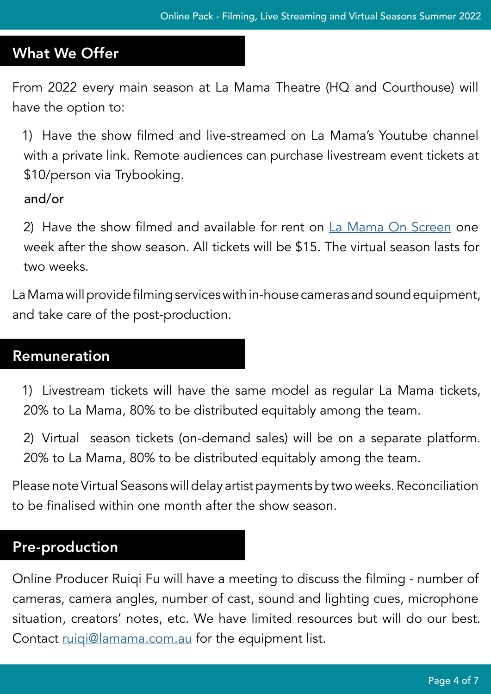# <span id="page-3-0"></span>What We Offer

From 2022 every main season at La Mama Theatre (HQ and Courthouse) will have the option to:

1) Have the show filmed and live-streamed on La Mama's Youtube channel with a private link. Remote audiences can purchase livestream event tickets at \$10/person via Trybooking.

and/or

2) Have the show filmed and available for rent on [La Mama On Screen](https://watch.lamama.com.au/) one week after the show season. All tickets will be \$15. The virtual season lasts for two weeks.

La Mama will provide filming services with in-house cameras and sound equipment, and take care of the post-production.

#### <span id="page-3-1"></span>Remuneration

1) Livestream tickets will have the same model as regular La Mama tickets, 20% to La Mama, 80% to be distributed equitably among the team.

2) Virtual season tickets (on-demand sales) will be on a separate platform. 20% to La Mama, 80% to be distributed equitably among the team.

Please note Virtual Seasons will delay artist payments by two weeks. Reconciliation to be finalised within one month after the show season.

# <span id="page-3-2"></span>Pre-production

Online Producer Ruiqi Fu will have a meeting to discuss the filming - number of cameras, camera angles, number of cast, sound and lighting cues, microphone situation, creators' notes, etc. We have limited resources but will do our best. Contact [ruiqi@lamama.com.au](mailto:ruiqi@lamama.com.au) for the equipment list.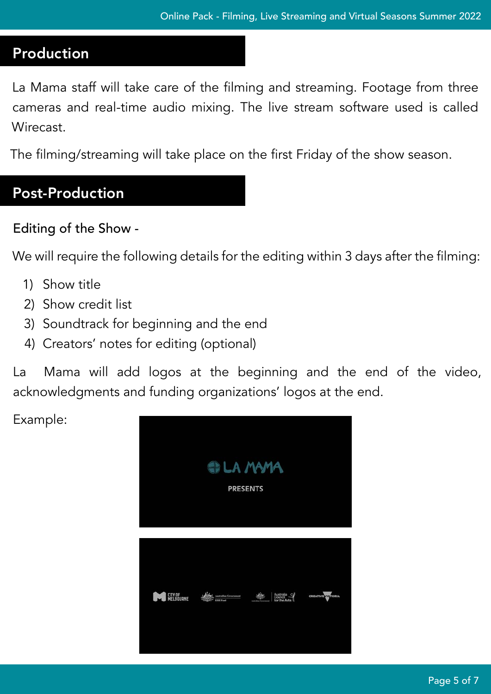# <span id="page-4-0"></span>**Production**

La Mama staff will take care of the filming and streaming. Footage from three cameras and real-time audio mixing. The live stream software used is called Wirecast.

The filming/streaming will take place on the first Friday of the show season.

# <span id="page-4-1"></span>Post-Production

### Editing of the Show -

We will require the following details for the editing within 3 days after the filming:

- 1) Show title
- 2) Show credit list
- 3) Soundtrack for beginning and the end
- 4) Creators' notes for editing (optional)

La Mama will add logos at the beginning and the end of the video, acknowledgments and funding organizations' logos at the end.

Example:

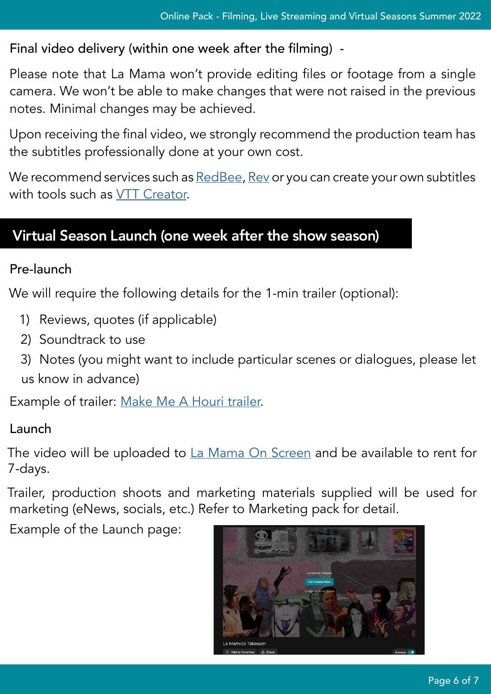Final video delivery (within one week after the filming) -

Please note that La Mama won't provide editing files or footage from a single camera. We won't be able to make changes that were not raised in the previous notes. Minimal changes may be achieved.

Upon receiving the final video, we strongly recommend the production team has the subtitles professionally done at your own cost.

We recommend services such as [RedBee](https://www.redbeemedia.com/services/access-services/), [Rev](https://www.rev.com/caption?utm_source=google_ads&utm_campaign=988467985&utm_content=44412546370&utm_medium=search&utm_term=vimeo%20captions&utm_source=&opti_ca=988467985&opti_ag=44412546370&opti_ad=512995147808&opti_key=kwd-364556321160&gclid=Cj0KCQjw18WKBhCUARIsAFiW7JyDVjNsRg76FAbMwLNk1DCeNSceO8vVPBsbjhu1NohNNxv98hxnCu4aAiEsEALw_wcB) or you can create your own subtitles with tools such as [VTT Creator](https://www.vtt-creator.com/).

# <span id="page-5-0"></span>Virtual Season Launch (one week after the show season)

#### Pre-launch

We will require the following details for the 1-min trailer (optional):

- 1) Reviews, quotes (if applicable)
- 2) Soundtrack to use
- 3) Notes (you might want to include particular scenes or dialogues, please let us know in advance)

Example of trailer: [Make Me A Houri trailer](https://youtu.be/S6Lcv4curdQ).

#### Launch

The video will be uploaded to [La Mama On Screen](http://watch.lamama.com.au) and be available to rent for 7-days.

Trailer, production shoots and marketing materials supplied will be used for marketing (eNews, socials, etc.) Refer to Marketing pack for detail.

Example of the Launch page: